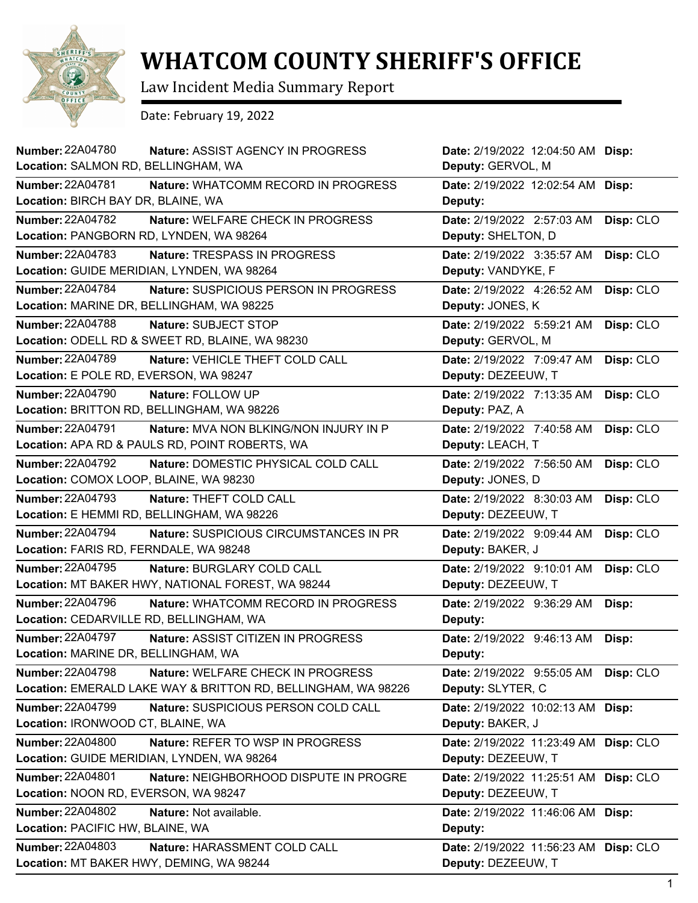

## **WHATCOM COUNTY SHERIFF'S OFFICE**

Law Incident Media Summary Report

Date: February 19, 2022

| <b>Number: 22A04780</b><br><b>Nature: ASSIST AGENCY IN PROGRESS</b>      | Date: 2/19/2022 12:04:50 AM Disp:     |           |
|--------------------------------------------------------------------------|---------------------------------------|-----------|
| Location: SALMON RD, BELLINGHAM, WA                                      | Deputy: GERVOL, M                     |           |
| <b>Number: 22A04781</b><br>Nature: WHATCOMM RECORD IN PROGRESS           | Date: 2/19/2022 12:02:54 AM Disp:     |           |
| Location: BIRCH BAY DR, BLAINE, WA                                       | Deputy:                               |           |
| <b>Number: 22A04782</b><br>Nature: WELFARE CHECK IN PROGRESS             | Date: 2/19/2022 2:57:03 AM            | Disp: CLO |
| Location: PANGBORN RD, LYNDEN, WA 98264                                  | Deputy: SHELTON, D                    |           |
| Number: 22A04783<br>Nature: TRESPASS IN PROGRESS                         | Date: 2/19/2022 3:35:57 AM            | Disp: CLO |
| Location: GUIDE MERIDIAN, LYNDEN, WA 98264                               | Deputy: VANDYKE, F                    |           |
| <b>Number: 22A04784</b><br>Nature: SUSPICIOUS PERSON IN PROGRESS         | Date: 2/19/2022 4:26:52 AM            | Disp: CLO |
| Location: MARINE DR, BELLINGHAM, WA 98225                                | Deputy: JONES, K                      |           |
| <b>Number: 22A04788</b><br>Nature: SUBJECT STOP                          | Date: 2/19/2022 5:59:21 AM            | Disp: CLO |
| Location: ODELL RD & SWEET RD, BLAINE, WA 98230                          | Deputy: GERVOL, M                     |           |
| <b>Number: 22A04789</b><br>Nature: VEHICLE THEFT COLD CALL               | Date: 2/19/2022 7:09:47 AM            | Disp: CLO |
| Location: E POLE RD, EVERSON, WA 98247                                   | Deputy: DEZEEUW, T                    |           |
| <b>Number: 22A04790</b><br>Nature: FOLLOW UP                             | Date: 2/19/2022 7:13:35 AM            | Disp: CLO |
| Location: BRITTON RD, BELLINGHAM, WA 98226                               | Deputy: PAZ, A                        |           |
| <b>Number: 22A04791</b><br><b>Nature: MVA NON BLKING/NON INJURY IN P</b> | Date: 2/19/2022 7:40:58 AM            | Disp: CLO |
| Location: APA RD & PAULS RD, POINT ROBERTS, WA                           | Deputy: LEACH, T                      |           |
| <b>Number: 22A04792</b><br>Nature: DOMESTIC PHYSICAL COLD CALL           | Date: 2/19/2022 7:56:50 AM            | Disp: CLO |
| Location: COMOX LOOP, BLAINE, WA 98230                                   | Deputy: JONES, D                      |           |
| <b>Number: 22A04793</b><br>Nature: THEFT COLD CALL                       | Date: 2/19/2022 8:30:03 AM            | Disp: CLO |
| Location: E HEMMI RD, BELLINGHAM, WA 98226                               | Deputy: DEZEEUW, T                    |           |
| <b>Number: 22A04794</b><br>Nature: SUSPICIOUS CIRCUMSTANCES IN PR        | Date: 2/19/2022 9:09:44 AM            | Disp: CLO |
| Location: FARIS RD, FERNDALE, WA 98248                                   | Deputy: BAKER, J                      |           |
| <b>Number: 22A04795</b><br>Nature: BURGLARY COLD CALL                    | Date: 2/19/2022 9:10:01 AM            | Disp: CLO |
| Location: MT BAKER HWY, NATIONAL FOREST, WA 98244                        | Deputy: DEZEEUW, T                    |           |
| <b>Number: 22A04796</b><br>Nature: WHATCOMM RECORD IN PROGRESS           | Date: 2/19/2022 9:36:29 AM            | Disp:     |
| Location: CEDARVILLE RD, BELLINGHAM, WA                                  | Deputy:                               |           |
| <b>Number: 22A04797</b><br>Nature: ASSIST CITIZEN IN PROGRESS            | Date: 2/19/2022 9:46:13 AM            | Disp:     |
| Location: MARINE DR, BELLINGHAM, WA                                      | Deputy:                               |           |
| <b>Number: 22A04798</b><br>Nature: WELFARE CHECK IN PROGRESS             | Date: 2/19/2022 9:55:05 AM            | Disp: CLO |
| Location: EMERALD LAKE WAY & BRITTON RD, BELLINGHAM, WA 98226            | Deputy: SLYTER, C                     |           |
| Number: 22A04799<br>Nature: SUSPICIOUS PERSON COLD CALL                  | Date: 2/19/2022 10:02:13 AM Disp:     |           |
| Location: IRONWOOD CT, BLAINE, WA                                        | Deputy: BAKER, J                      |           |
| <b>Number: 22A04800</b><br>Nature: REFER TO WSP IN PROGRESS              | Date: 2/19/2022 11:23:49 AM Disp: CLO |           |
| Location: GUIDE MERIDIAN, LYNDEN, WA 98264                               | Deputy: DEZEEUW, T                    |           |
| <b>Number: 22A04801</b><br>Nature: NEIGHBORHOOD DISPUTE IN PROGRE        | Date: 2/19/2022 11:25:51 AM           | Disp: CLO |
| Location: NOON RD, EVERSON, WA 98247                                     | Deputy: DEZEEUW, T                    |           |
| <b>Number: 22A04802</b><br>Nature: Not available.                        | Date: 2/19/2022 11:46:06 AM Disp:     |           |
| Location: PACIFIC HW, BLAINE, WA                                         | Deputy:                               |           |
| <b>Number: 22A04803</b><br>Nature: HARASSMENT COLD CALL                  | Date: 2/19/2022 11:56:23 AM           | Disp: CLO |
| Location: MT BAKER HWY, DEMING, WA 98244                                 | Deputy: DEZEEUW, T                    |           |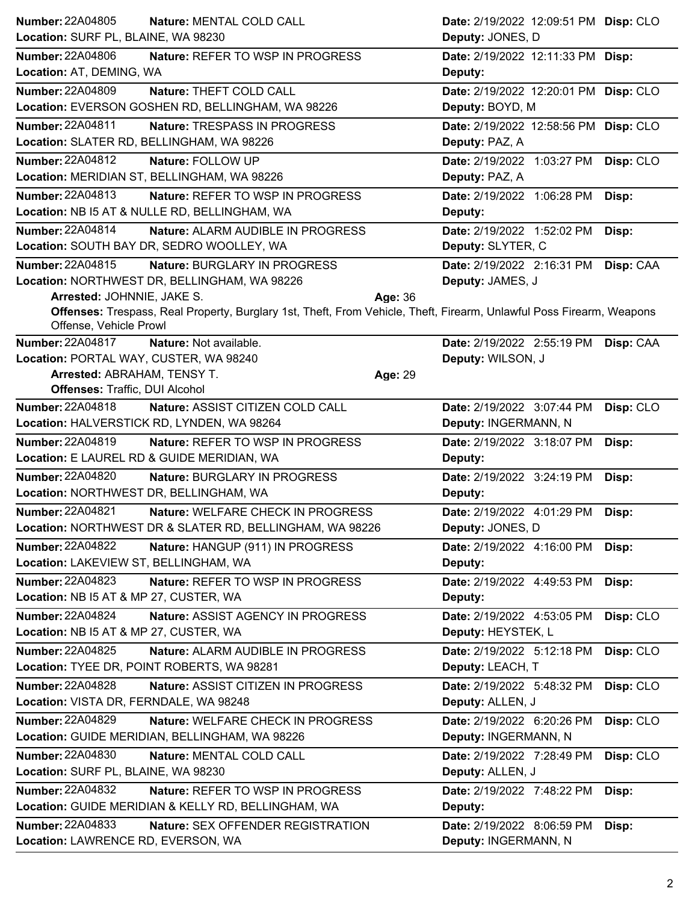| <b>Number: 22A04805</b><br>Nature: MENTAL COLD CALL                                                                                            | Date: 2/19/2022 12:09:51 PM Disp: CLO   |
|------------------------------------------------------------------------------------------------------------------------------------------------|-----------------------------------------|
| Location: SURF PL, BLAINE, WA 98230                                                                                                            | Deputy: JONES, D                        |
| <b>Number: 22A04806</b><br>Nature: REFER TO WSP IN PROGRESS                                                                                    | Date: 2/19/2022 12:11:33 PM Disp:       |
| Location: AT, DEMING, WA                                                                                                                       | Deputy:                                 |
| <b>Number: 22A04809</b><br>Nature: THEFT COLD CALL                                                                                             | Date: 2/19/2022 12:20:01 PM Disp: CLO   |
| Location: EVERSON GOSHEN RD, BELLINGHAM, WA 98226                                                                                              | Deputy: BOYD, M                         |
| <b>Number: 22A04811</b><br>Nature: TRESPASS IN PROGRESS                                                                                        | Date: 2/19/2022 12:58:56 PM Disp: CLO   |
| Location: SLATER RD, BELLINGHAM, WA 98226                                                                                                      | Deputy: PAZ, A                          |
| Number: 22A04812<br>Nature: FOLLOW UP                                                                                                          | Date: 2/19/2022 1:03:27 PM Disp: CLO    |
| Location: MERIDIAN ST, BELLINGHAM, WA 98226                                                                                                    | Deputy: PAZ, A                          |
| Number: 22A04813<br>Nature: REFER TO WSP IN PROGRESS                                                                                           | Date: 2/19/2022 1:06:28 PM<br>Disp:     |
| Location: NB I5 AT & NULLE RD, BELLINGHAM, WA                                                                                                  | Deputy:                                 |
| Number: 22A04814<br>Nature: ALARM AUDIBLE IN PROGRESS                                                                                          | Date: 2/19/2022 1:52:02 PM<br>Disp:     |
| Location: SOUTH BAY DR, SEDRO WOOLLEY, WA                                                                                                      | Deputy: SLYTER, C                       |
| Number: 22A04815<br>Nature: BURGLARY IN PROGRESS                                                                                               | Date: 2/19/2022 2:16:31 PM<br>Disp: CAA |
| Location: NORTHWEST DR, BELLINGHAM, WA 98226                                                                                                   | Deputy: JAMES, J                        |
| Arrested: JOHNNIE, JAKE S.<br>Age: 36                                                                                                          |                                         |
| Offenses: Trespass, Real Property, Burglary 1st, Theft, From Vehicle, Theft, Firearm, Unlawful Poss Firearm, Weapons<br>Offense, Vehicle Prowl |                                         |
| <b>Number: 22A04817</b><br>Nature: Not available.                                                                                              | Date: 2/19/2022 2:55:19 PM<br>Disp: CAA |
| Location: PORTAL WAY, CUSTER, WA 98240                                                                                                         | Deputy: WILSON, J                       |
| Arrested: ABRAHAM, TENSY T.<br>Age: 29                                                                                                         |                                         |
| Offenses: Traffic, DUI Alcohol                                                                                                                 |                                         |
| Number: 22A04818<br>Nature: ASSIST CITIZEN COLD CALL                                                                                           | Date: 2/19/2022 3:07:44 PM<br>Disp: CLO |
| Location: HALVERSTICK RD, LYNDEN, WA 98264                                                                                                     | Deputy: INGERMANN, N                    |
| Number: 22A04819<br>Nature: REFER TO WSP IN PROGRESS                                                                                           | Date: 2/19/2022 3:18:07 PM<br>Disp:     |
| Location: E LAUREL RD & GUIDE MERIDIAN, WA                                                                                                     | Deputy:                                 |
| Number: 22A04820<br>Nature: BURGLARY IN PROGRESS                                                                                               | Date: 2/19/2022 3:24:19 PM<br>Disp:     |
| Location: NORTHWEST DR, BELLINGHAM, WA                                                                                                         | Deputy:                                 |
| <b>Number: 22A04821</b><br>Nature: WELFARE CHECK IN PROGRESS                                                                                   | Date: 2/19/2022 4:01:29 PM Disp:        |
| Location: NORTHWEST DR & SLATER RD, BELLINGHAM, WA 98226                                                                                       | Deputy: JONES, D                        |
| <b>Number: 22A04822</b><br>Nature: HANGUP (911) IN PROGRESS                                                                                    | Date: 2/19/2022 4:16:00 PM<br>Disp:     |
| Location: LAKEVIEW ST, BELLINGHAM, WA                                                                                                          | Deputy:                                 |
| <b>Number: 22A04823</b><br>Nature: REFER TO WSP IN PROGRESS                                                                                    | Date: 2/19/2022 4:49:53 PM<br>Disp:     |
| Location: NB I5 AT & MP 27, CUSTER, WA                                                                                                         | Deputy:                                 |
| <b>Number: 22A04824</b><br>Nature: ASSIST AGENCY IN PROGRESS                                                                                   | Disp: CLO<br>Date: 2/19/2022 4:53:05 PM |
| Location: NB I5 AT & MP 27, CUSTER, WA                                                                                                         | Deputy: HEYSTEK, L                      |
| <b>Number: 22A04825</b><br>Nature: ALARM AUDIBLE IN PROGRESS                                                                                   | Disp: CLO<br>Date: 2/19/2022 5:12:18 PM |
| Location: TYEE DR, POINT ROBERTS, WA 98281                                                                                                     | Deputy: LEACH, T                        |
| <b>Number: 22A04828</b><br>Nature: ASSIST CITIZEN IN PROGRESS                                                                                  | Date: 2/19/2022 5:48:32 PM<br>Disp: CLO |
| Location: VISTA DR, FERNDALE, WA 98248                                                                                                         | Deputy: ALLEN, J                        |
| <b>Number: 22A04829</b><br>Nature: WELFARE CHECK IN PROGRESS                                                                                   | Date: 2/19/2022 6:20:26 PM<br>Disp: CLO |
| Location: GUIDE MERIDIAN, BELLINGHAM, WA 98226                                                                                                 | Deputy: INGERMANN, N                    |
| <b>Number: 22A04830</b><br>Nature: MENTAL COLD CALL                                                                                            | Date: 2/19/2022 7:28:49 PM<br>Disp: CLO |
| Location: SURF PL, BLAINE, WA 98230                                                                                                            | Deputy: ALLEN, J                        |
| Number: 22A04832<br>Nature: REFER TO WSP IN PROGRESS                                                                                           | Date: 2/19/2022 7:48:22 PM<br>Disp:     |
| Location: GUIDE MERIDIAN & KELLY RD, BELLINGHAM, WA                                                                                            | Deputy:                                 |
| <b>Number: 22A04833</b><br>Nature: SEX OFFENDER REGISTRATION                                                                                   | Date: 2/19/2022 8:06:59 PM<br>Disp:     |
| Location: LAWRENCE RD, EVERSON, WA                                                                                                             | Deputy: INGERMANN, N                    |
|                                                                                                                                                |                                         |